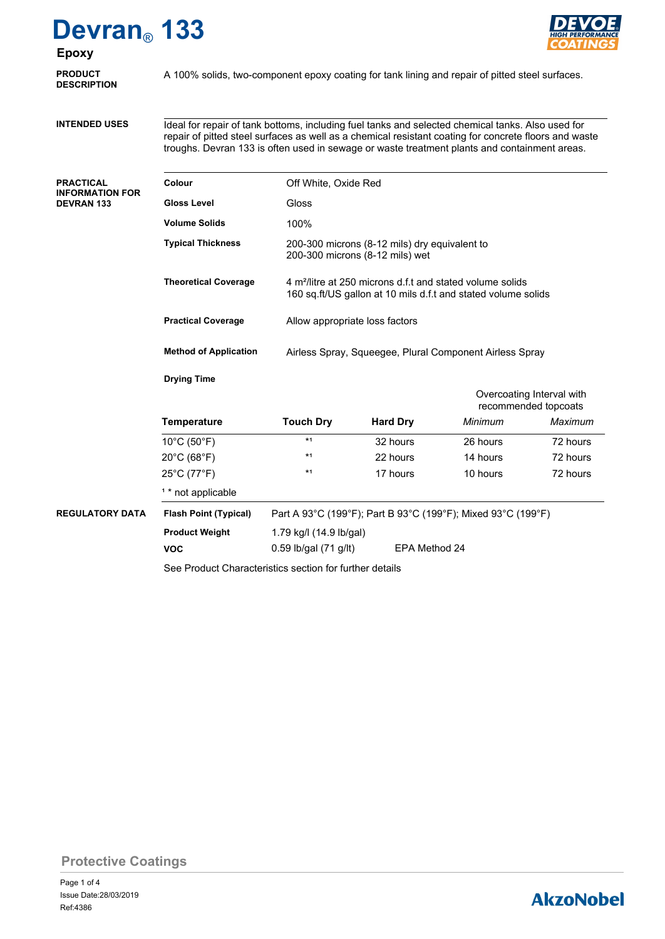## **Devran**® **133**



### **Epoxy**

| <b>PRODUCT</b><br><b>DESCRIPTION</b>       | A 100% solids, two-component epoxy coating for tank lining and repair of pitted steel surfaces.                                                                                                                                                                                                            |                                                                                                                                                                          |                 |                                                   |          |  |  |  |
|--------------------------------------------|------------------------------------------------------------------------------------------------------------------------------------------------------------------------------------------------------------------------------------------------------------------------------------------------------------|--------------------------------------------------------------------------------------------------------------------------------------------------------------------------|-----------------|---------------------------------------------------|----------|--|--|--|
| <b>INTENDED USES</b>                       | Ideal for repair of tank bottoms, including fuel tanks and selected chemical tanks. Also used for<br>repair of pitted steel surfaces as well as a chemical resistant coating for concrete floors and waste<br>troughs. Devran 133 is often used in sewage or waste treatment plants and containment areas. |                                                                                                                                                                          |                 |                                                   |          |  |  |  |
| PRACTICAL<br>INFORMATION FOR<br>DEVRAN 133 | Colour                                                                                                                                                                                                                                                                                                     | Off White, Oxide Red                                                                                                                                                     |                 |                                                   |          |  |  |  |
|                                            | <b>Gloss Level</b>                                                                                                                                                                                                                                                                                         | Gloss                                                                                                                                                                    |                 |                                                   |          |  |  |  |
|                                            | <b>Volume Solids</b>                                                                                                                                                                                                                                                                                       | 100%                                                                                                                                                                     |                 |                                                   |          |  |  |  |
|                                            | <b>Typical Thickness</b>                                                                                                                                                                                                                                                                                   | 200-300 microns (8-12 mils) dry equivalent to<br>200-300 microns (8-12 mils) wet                                                                                         |                 |                                                   |          |  |  |  |
|                                            | <b>Theoretical Coverage</b>                                                                                                                                                                                                                                                                                | 4 m <sup>2</sup> /litre at 250 microns d.f.t and stated volume solids<br>160 sq.ft/US gallon at 10 mils d.f.t and stated volume solids<br>Allow appropriate loss factors |                 |                                                   |          |  |  |  |
|                                            | <b>Practical Coverage</b>                                                                                                                                                                                                                                                                                  |                                                                                                                                                                          |                 |                                                   |          |  |  |  |
|                                            | <b>Method of Application</b><br>Airless Spray, Squeegee, Plural Component Airless Spray                                                                                                                                                                                                                    |                                                                                                                                                                          |                 |                                                   |          |  |  |  |
|                                            | <b>Drying Time</b>                                                                                                                                                                                                                                                                                         |                                                                                                                                                                          |                 |                                                   |          |  |  |  |
|                                            |                                                                                                                                                                                                                                                                                                            |                                                                                                                                                                          |                 | Overcoating Interval with<br>recommended topcoats |          |  |  |  |
|                                            | <b>Temperature</b>                                                                                                                                                                                                                                                                                         | <b>Touch Dry</b>                                                                                                                                                         | <b>Hard Dry</b> | Minimum                                           | Maximum  |  |  |  |
|                                            | $10^{\circ}$ C (50 $^{\circ}$ F)                                                                                                                                                                                                                                                                           | $*1$                                                                                                                                                                     | 32 hours        | 26 hours                                          | 72 hours |  |  |  |
|                                            | 20°C (68°F)                                                                                                                                                                                                                                                                                                | $*1$                                                                                                                                                                     | 22 hours        | 14 hours                                          | 72 hours |  |  |  |
|                                            | 25°C (77°F)                                                                                                                                                                                                                                                                                                | $*1$                                                                                                                                                                     | 17 hours        | 10 hours                                          | 72 hours |  |  |  |
|                                            | <sup>1</sup> * not applicable                                                                                                                                                                                                                                                                              |                                                                                                                                                                          |                 |                                                   |          |  |  |  |
| <b>REGULATORY DATA</b>                     | <b>Flash Point (Typical)</b>                                                                                                                                                                                                                                                                               | Part A 93°C (199°F); Part B 93°C (199°F); Mixed 93°C (199°F)                                                                                                             |                 |                                                   |          |  |  |  |
|                                            | <b>Product Weight</b>                                                                                                                                                                                                                                                                                      | 1.79 kg/l (14.9 lb/gal)                                                                                                                                                  |                 |                                                   |          |  |  |  |
|                                            | <b>VOC</b>                                                                                                                                                                                                                                                                                                 | 0.59 lb/gal (71 g/lt)<br>EPA Method 24                                                                                                                                   |                 |                                                   |          |  |  |  |
|                                            |                                                                                                                                                                                                                                                                                                            |                                                                                                                                                                          |                 |                                                   |          |  |  |  |

See Product Characteristics section for further details

**Protective Coatings**

## **AkzoNobel**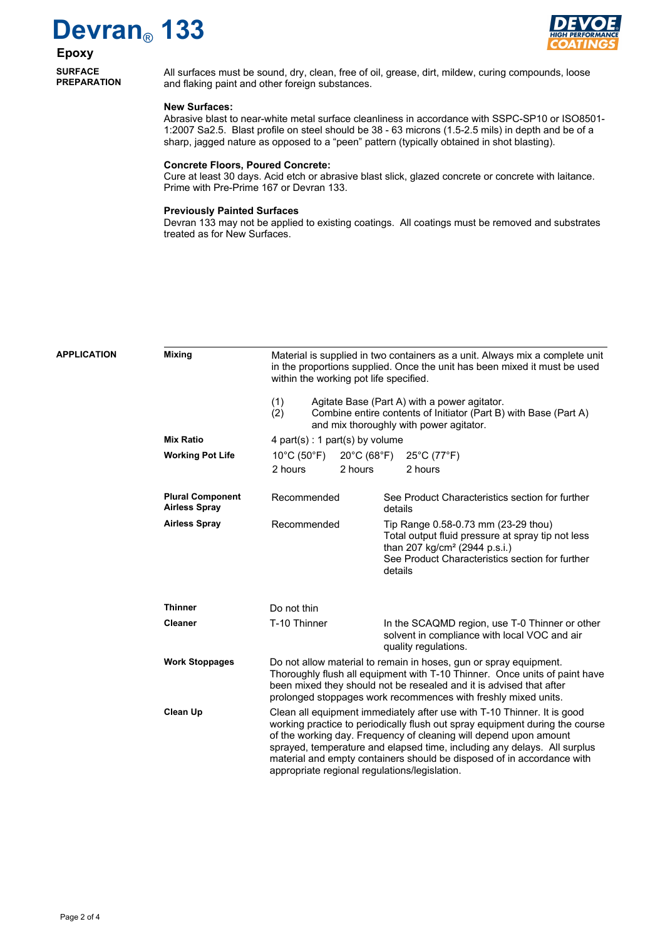# **Devran**® **133**



## **Epoxy**

**SURFACE PREPARATION** All surfaces must be sound, dry, clean, free of oil, grease, dirt, mildew, curing compounds, loose and flaking paint and other foreign substances.

#### **New Surfaces:**

Abrasive blast to near-white metal surface cleanliness in accordance with SSPC-SP10 or ISO8501- 1:2007 Sa2.5. Blast profile on steel should be 38 - 63 microns (1.5-2.5 mils) in depth and be of a sharp, jagged nature as opposed to a "peen" pattern (typically obtained in shot blasting).

#### **Concrete Floors, Poured Concrete:**

Cure at least 30 days. Acid etch or abrasive blast slick, glazed concrete or concrete with laitance. Prime with Pre-Prime 167 or Devran 133.

#### **Previously Painted Surfaces**

Devran 133 may not be applied to existing coatings. All coatings must be removed and substrates treated as for New Surfaces.

| <b>APPLICATION</b> | <b>Mixing</b>                                   | Material is supplied in two containers as a unit. Always mix a complete unit<br>in the proportions supplied. Once the unit has been mixed it must be used<br>within the working pot life specified.                                                                                      |                                             |         |                                                                                                                                                                                                                                                                                                                                                                                    |  |  |
|--------------------|-------------------------------------------------|------------------------------------------------------------------------------------------------------------------------------------------------------------------------------------------------------------------------------------------------------------------------------------------|---------------------------------------------|---------|------------------------------------------------------------------------------------------------------------------------------------------------------------------------------------------------------------------------------------------------------------------------------------------------------------------------------------------------------------------------------------|--|--|
|                    |                                                 | (1)<br>Agitate Base (Part A) with a power agitator.<br>Combine entire contents of Initiator (Part B) with Base (Part A)<br>(2)<br>and mix thoroughly with power agitator.                                                                                                                |                                             |         |                                                                                                                                                                                                                                                                                                                                                                                    |  |  |
|                    | <b>Mix Ratio</b>                                | 4 part(s) : 1 part(s) by volume                                                                                                                                                                                                                                                          |                                             |         |                                                                                                                                                                                                                                                                                                                                                                                    |  |  |
|                    | <b>Working Pot Life</b>                         | $10^{\circ}$ C (50 $^{\circ}$ F)<br>2 hours                                                                                                                                                                                                                                              | $20^{\circ}$ C (68 $^{\circ}$ F)<br>2 hours |         | $25^{\circ}$ C (77 $^{\circ}$ F)<br>2 hours                                                                                                                                                                                                                                                                                                                                        |  |  |
|                    | <b>Plural Component</b><br><b>Airless Spray</b> | Recommended                                                                                                                                                                                                                                                                              |                                             | details | See Product Characteristics section for further                                                                                                                                                                                                                                                                                                                                    |  |  |
|                    | <b>Airless Spray</b>                            | Recommended                                                                                                                                                                                                                                                                              |                                             | details | Tip Range 0.58-0.73 mm (23-29 thou)<br>Total output fluid pressure at spray tip not less<br>than 207 kg/cm <sup>2</sup> (2944 p.s.i.)<br>See Product Characteristics section for further                                                                                                                                                                                           |  |  |
|                    | <b>Thinner</b>                                  | Do not thin                                                                                                                                                                                                                                                                              |                                             |         |                                                                                                                                                                                                                                                                                                                                                                                    |  |  |
|                    | <b>Cleaner</b>                                  | T-10 Thinner                                                                                                                                                                                                                                                                             |                                             |         | In the SCAQMD region, use T-0 Thinner or other<br>solvent in compliance with local VOC and air<br>quality regulations.                                                                                                                                                                                                                                                             |  |  |
|                    | <b>Work Stoppages</b>                           | Do not allow material to remain in hoses, gun or spray equipment.<br>Thoroughly flush all equipment with T-10 Thinner. Once units of paint have<br>been mixed they should not be resealed and it is advised that after<br>prolonged stoppages work recommences with freshly mixed units. |                                             |         |                                                                                                                                                                                                                                                                                                                                                                                    |  |  |
|                    | <b>Clean Up</b>                                 | appropriate regional regulations/legislation.                                                                                                                                                                                                                                            |                                             |         | Clean all equipment immediately after use with T-10 Thinner. It is good<br>working practice to periodically flush out spray equipment during the course<br>of the working day. Frequency of cleaning will depend upon amount<br>sprayed, temperature and elapsed time, including any delays. All surplus<br>material and empty containers should be disposed of in accordance with |  |  |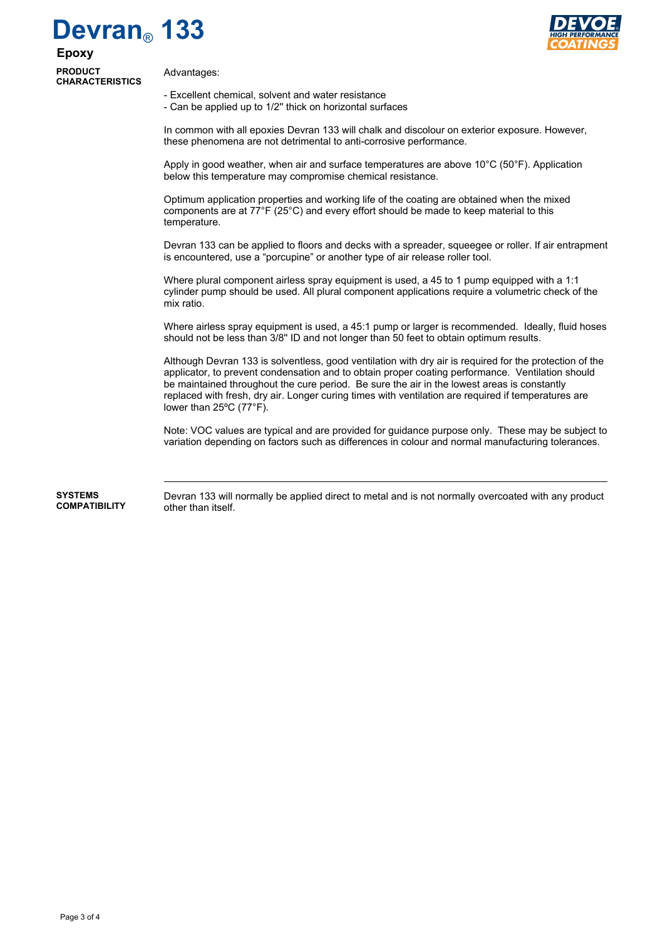# **Devran**® **133**



**Epoxy PRODUCT CHARACTERISTICS**

Advantages:

- Excellent chemical, solvent and water resistance

- Can be applied up to 1/2'' thick on horizontal surfaces

In common with all epoxies Devran 133 will chalk and discolour on exterior exposure. However, these phenomena are not detrimental to anti-corrosive performance.

Apply in good weather, when air and surface temperatures are above 10°C (50°F). Application below this temperature may compromise chemical resistance.

Optimum application properties and working life of the coating are obtained when the mixed components are at 77°F (25°C) and every effort should be made to keep material to this temperature.

Devran 133 can be applied to floors and decks with a spreader, squeegee or roller. If air entrapment is encountered, use a "porcupine" or another type of air release roller tool.

Where plural component airless spray equipment is used, a 45 to 1 pump equipped with a 1:1 cylinder pump should be used. All plural component applications require a volumetric check of the mix ratio.

Where airless spray equipment is used, a 45:1 pump or larger is recommended. Ideally, fluid hoses should not be less than 3/8'' ID and not longer than 50 feet to obtain optimum results.

Although Devran 133 is solventless, good ventilation with dry air is required for the protection of the applicator, to prevent condensation and to obtain proper coating performance. Ventilation should be maintained throughout the cure period. Be sure the air in the lowest areas is constantly replaced with fresh, dry air. Longer curing times with ventilation are required if temperatures are lower than 25ºC (77°F).

Note: VOC values are typical and are provided for guidance purpose only. These may be subject to variation depending on factors such as differences in colour and normal manufacturing tolerances.

Devran 133 will normally be applied direct to metal and is not normally overcoated with any product other than itself. **SYSTEMS COMPATIBILITY**